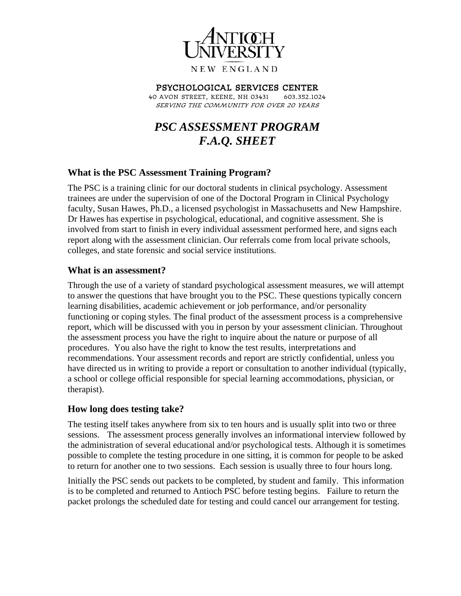

# Psychological Services Center

40 Avon Street, Keene, NH 03431 603.352.1024 Serving the community for over 20 years

# *PSC ASSESSMENT PROGRAM F.A.Q. SHEET*

#### **What is the PSC Assessment Training Program?**

The PSC is a training clinic for our doctoral students in clinical psychology. Assessment trainees are under the supervision of one of the Doctoral Program in Clinical Psychology faculty, Susan Hawes, Ph.D., a licensed psychologist in Massachusetts and New Hampshire. Dr Hawes has expertise in psychological, educational, and cognitive assessment. She is involved from start to finish in every individual assessment performed here, and signs each report along with the assessment clinician. Our referrals come from local private schools, colleges, and state forensic and social service institutions.

#### **What is an assessment?**

Through the use of a variety of standard psychological assessment measures, we will attempt to answer the questions that have brought you to the PSC. These questions typically concern learning disabilities, academic achievement or job performance, and/or personality functioning or coping styles. The final product of the assessment process is a comprehensive report, which will be discussed with you in person by your assessment clinician. Throughout the assessment process you have the right to inquire about the nature or purpose of all procedures. You also have the right to know the test results, interpretations and recommendations. Your assessment records and report are strictly confidential, unless you have directed us in writing to provide a report or consultation to another individual (typically, a school or college official responsible for special learning accommodations, physician, or therapist).

#### **How long does testing take?**

The testing itself takes anywhere from six to ten hours and is usually split into two or three sessions. The assessment process generally involves an informational interview followed by the administration of several educational and/or psychological tests. Although it is sometimes possible to complete the testing procedure in one sitting, it is common for people to be asked to return for another one to two sessions. Each session is usually three to four hours long.

Initially the PSC sends out packets to be completed, by student and family. This information is to be completed and returned to Antioch PSC before testing begins. Failure to return the packet prolongs the scheduled date for testing and could cancel our arrangement for testing.